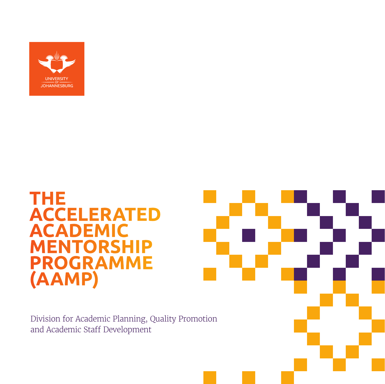

## **THE ACCELERATED ACADEMIC MENTORSHIP PROGRAMME (AAMP)**

Division for Academic Planning, Quality Promotion and Academic Staff Development

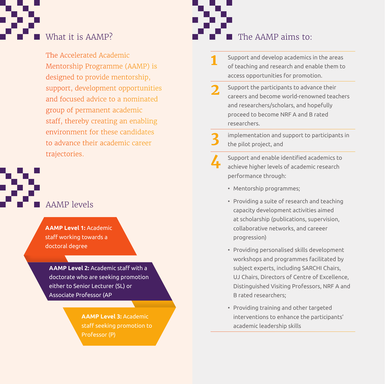

The Accelerated Academic Mentorship Programme (AAMP) is designed to provide mentorship, support, development opportunities and focused advice to a nominated group of permanent academic staff, thereby creating an enabling environment for these candidates to advance their academic career trajectories.

AAMP levels

**AAMP Level 1:** Academic staff working towards a doctoral degree

**AAMP Level 2:** Academic staff with a doctorate who are seeking promotion either to Senior Lecturer (SL) or Associate Professor (AP

> **AAMP Level 3:** Academic staff seeking promotion to



- **1** Support and develop academics in the areas of teaching and research and enable them to access opportunities for promotion.
- **2** Support the participants to advance their careers and become world-renowned teachers and researchers/scholars, and hopefully proceed to become NRF A and B rated researchers.
	- **3** implementation and support to participants in the pilot project, and
- **4** Support and enable identified academics to achieve higher levels of academic research performance through:
	- Mentorship programmes;
	- Providing a suite of research and teaching capacity development activities aimed at scholarship (publications, supervision, collaborative networks, and careeer progression)
	- Providing personalised skills development workshops and programmes facilitated by subject experts, including SARCHI Chairs, UJ Chairs, Directors of Centre of Excellence, Distinguished Visiting Professors, NRF A and B rated researchers;
	- Providing training and other targeted interventions to enhance the participants' academic leadership skills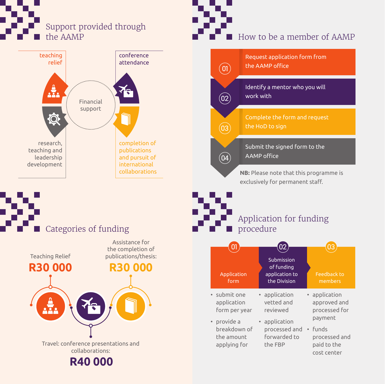





### How to be a member of AAMP



### Categories of funding





Application for funding